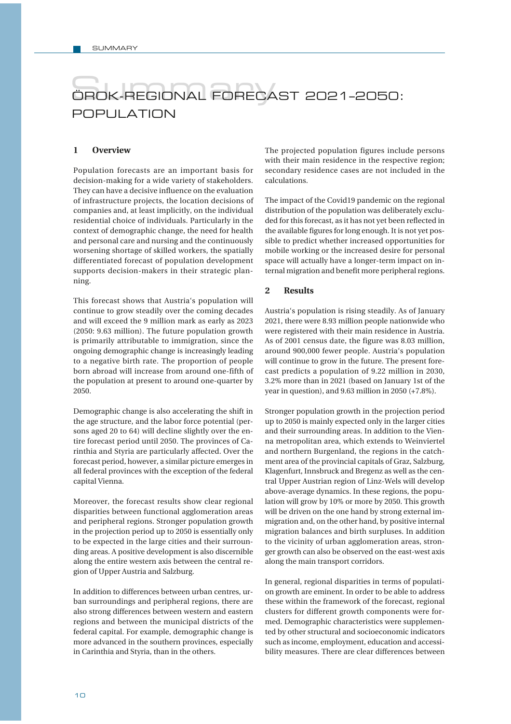## ÖROK-REGIONAL FORECAST 2021-2050: POPULATION

## **1 Overview**

Population forecasts are an important basis for decision-making for a wide variety of stakeholders. They can have a decisive influence on the evaluation of infrastructure projects, the location decisions of companies and, at least implicitly, on the individual residential choice of individuals. Particularly in the context of demographic change, the need for health and personal care and nursing and the continuously worsening shortage of skilled workers, the spatially differentiated forecast of population development supports decision-makers in their strategic planning.

This forecast shows that Austria's population will continue to grow steadily over the coming decades and will exceed the 9 million mark as early as 2023 (2050: 9.63 million). The future population growth is primarily attributable to immigration, since the ongoing demographic change is increasingly leading to a negative birth rate. The proportion of people born abroad will increase from around one-fifth of the population at present to around one-quarter by 2050.

Demographic change is also accelerating the shift in the age structure, and the labor force potential (persons aged 20 to 64) will decline slightly over the entire forecast period until 2050. The provinces of Carinthia and Styria are particularly affected. Over the forecast period, however, a similar picture emerges in all federal provinces with the exception of the federal capital Vienna.

Moreover, the forecast results show clear regional disparities between functional agglomeration areas and peripheral regions. Stronger population growth in the projection period up to 2050 is essentially only to be expected in the large cities and their surrounding areas. A positive development is also discernible along the entire western axis between the central region of Upper Austria and Salzburg.

In addition to differences between urban centres, urban surroundings and peripheral regions, there are also strong differences between western and eastern regions and between the municipal districts of the federal capital. For example, demographic change is more advanced in the southern provinces, especially in Carinthia and Styria, than in the others.

The projected population figures include persons with their main residence in the respective region; secondary residence cases are not included in the calculations.

The impact of the Covid19 pandemic on the regional distribution of the population was deliberately excluded for this forecast, as it has not yet been reflected in the available figures for long enough. It is not yet possible to predict whether increased opportunities for mobile working or the increased desire for personal space will actually have a longer-term impact on internal migration and benefit more peripheral regions.

## **2 Results**

Austria's population is rising steadily. As of January 2021, there were 8.93 million people nationwide who were registered with their main residence in Austria. As of 2001 census date, the figure was 8.03 million, around 900,000 fewer people. Austria's population will continue to grow in the future. The present forecast predicts a population of 9.22 million in 2030, 3.2% more than in 2021 (based on January 1st of the year in question), and 9.63 million in 2050 (+7.8%).

Stronger population growth in the projection period up to 2050 is mainly expected only in the larger cities and their surrounding areas. In addition to the Vienna metropolitan area, which extends to Weinviertel and northern Burgenland, the regions in the catchment area of the provincial capitals of Graz, Salzburg, Klagenfurt, Innsbruck and Bregenz as well as the central Upper Austrian region of Linz-Wels will develop above-average dynamics. In these regions, the population will grow by 10% or more by 2050. This growth will be driven on the one hand by strong external immigration and, on the other hand, by positive internal migration balances and birth surpluses. In addition to the vicinity of urban agglomeration areas, stronger growth can also be observed on the east-west axis along the main transport corridors.

In general, regional disparities in terms of population growth are eminent. In order to be able to address these within the framework of the forecast, regional clusters for different growth components were formed. Demographic characteristics were supplemented by other structural and socioeconomic indicators such as income, employment, education and accessibility measures. There are clear differences between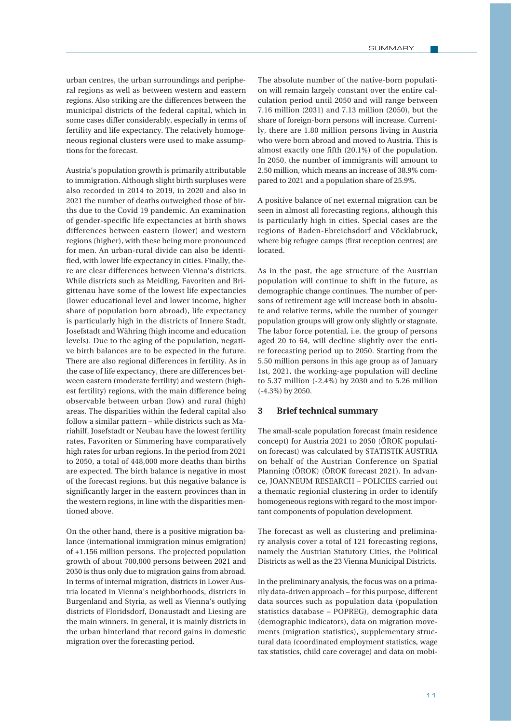urban centres, the urban surroundings and peripheral regions as well as between western and eastern regions. Also striking are the differences between the municipal districts of the federal capital, which in some cases differ considerably, especially in terms of fertility and life expectancy. The relatively homogeneous regional clusters were used to make assumptions for the forecast.

Austria's population growth is primarily attributable to immigration. Although slight birth surpluses were also recorded in 2014 to 2019, in 2020 and also in 2021 the number of deaths outweighed those of births due to the Covid 19 pandemic. An examination of gender-specific life expectancies at birth shows differences between eastern (lower) and western regions (higher), with these being more pronounced for men. An urban-rural divide can also be identified, with lower life expectancy in cities. Finally, there are clear differences between Vienna's districts. While districts such as Meidling, Favoriten and Brigittenau have some of the lowest life expectancies (lower educational level and lower income, higher share of population born abroad), life expectancy is particularly high in the districts of Innere Stadt, Josefstadt and Währing (high income and education levels). Due to the aging of the population, negative birth balances are to be expected in the future. There are also regional differences in fertility. As in the case of life expectancy, there are differences between eastern (moderate fertility) and western (highest fertility) regions, with the main difference being observable between urban (low) and rural (high) areas. The disparities within the federal capital also follow a similar pattern – while districts such as Mariahilf, Josefstadt or Neubau have the lowest fertility rates, Favoriten or Simmering have comparatively high rates for urban regions. In the period from 2021 to 2050, a total of 448,000 more deaths than births are expected. The birth balance is negative in most of the forecast regions, but this negative balance is significantly larger in the eastern provinces than in the western regions, in line with the disparities mentioned above.

On the other hand, there is a positive migration balance (international immigration minus emigration) of +1.156 million persons. The projected population growth of about 700,000 persons between 2021 and 2050 is thus only due to migration gains from abroad. In terms of internal migration, districts in Lower Austria located in Vienna's neighborhoods, districts in Burgenland and Styria, as well as Vienna's outlying districts of Floridsdorf, Donaustadt and Liesing are the main winners. In general, it is mainly districts in the urban hinterland that record gains in domestic migration over the forecasting period.

The absolute number of the native-born population will remain largely constant over the entire calculation period until 2050 and will range between 7.16 million (2031) and 7.13 million (2050), but the share of foreign-born persons will increase. Currently, there are 1.80 million persons living in Austria who were born abroad and moved to Austria. This is almost exactly one fifth (20.1%) of the population. In 2050, the number of immigrants will amount to 2.50 million, which means an increase of 38.9% compared to 2021 and a population share of 25.9%.

A positive balance of net external migration can be seen in almost all forecasting regions, although this is particularly high in cities. Special cases are the regions of Baden-Ebreichsdorf and Vöcklabruck, where big refugee camps (first reception centres) are located.

As in the past, the age structure of the Austrian population will continue to shift in the future, as demographic change continues. The number of persons of retirement age will increase both in absolute and relative terms, while the number of younger population groups will grow only slightly or stagnate. The labor force potential, i.e. the group of persons aged 20 to 64, will decline slightly over the entire forecasting period up to 2050. Starting from the 5.50 million persons in this age group as of January 1st, 2021, the working-age population will decline to 5.37 million (-2.4%) by 2030 and to 5.26 million (-4.3%) by 2050.

## **3 Brief technical summary**

The small-scale population forecast (main residence concept) for Austria 2021 to 2050 (ÖROK population forecast) was calculated by STATISTIK AUSTRIA on behalf of the Austrian Conference on Spatial Planning (ÖROK) (ÖROK forecast 2021). In advance, JOANNEUM RESEARCH – POLICIES carried out a thematic regionial clustering in order to identify homogeneous regions with regard to the most important components of population development.

The forecast as well as clustering and preliminary analysis cover a total of 121 forecasting regions, namely the Austrian Statutory Cities, the Political Districts as well as the 23 Vienna Municipal Districts.

In the preliminary analysis, the focus was on a primarily data-driven approach – for this purpose, different data sources such as population data (population statistics database – POPREG), demographic data (demographic indicators), data on migration movements (migration statistics), supplementary structural data (coordinated employment statistics, wage tax statistics, child care coverage) and data on mobi